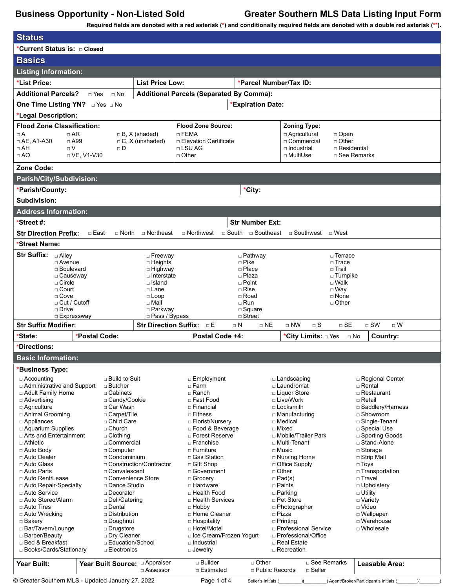**Required fields are denoted with a red asterisk (\*) and conditionally required fields are denoted with a double red asterisk (\*\*).**

| <b>Status</b>                                                              |                                 |                           |                                        |                                                 |                                       |                                        |  |
|----------------------------------------------------------------------------|---------------------------------|---------------------------|----------------------------------------|-------------------------------------------------|---------------------------------------|----------------------------------------|--|
| *Current Status is: □ Closed                                               |                                 |                           |                                        |                                                 |                                       |                                        |  |
| <b>Basics</b>                                                              |                                 |                           |                                        |                                                 |                                       |                                        |  |
| <b>Listing Information:</b>                                                |                                 |                           |                                        |                                                 |                                       |                                        |  |
| *List Price:<br><b>List Price Low:</b>                                     |                                 |                           |                                        | *Parcel Number/Tax ID:                          |                                       |                                        |  |
| <b>Additional Parcels?</b><br>$\sqcap$ Yes<br>$\Box$ No                    |                                 |                           |                                        |                                                 |                                       |                                        |  |
| One Time Listing YN? DYes DNo                                              |                                 |                           |                                        | <b>Additional Parcels (Separated By Comma):</b> |                                       |                                        |  |
|                                                                            |                                 |                           |                                        | *Expiration Date:                               |                                       |                                        |  |
| *Legal Description:                                                        |                                 |                           |                                        |                                                 |                                       |                                        |  |
| <b>Flood Zone Classification:</b><br>$\Box$ AR<br>$\Box A$                 |                                 | $\Box$ B, X (shaded)      | <b>Flood Zone Source:</b><br>□ FEMA    |                                                 | <b>Zoning Type:</b><br>□ Agricultural | $\Box$ Open                            |  |
| $\Box$ AE, A1-A30<br>$\Box$ A99                                            |                                 | $\Box$ C, X (unshaded)    | □ Elevation Certificate                |                                                 | □ Commercial                          | $\Box$ Other                           |  |
| $\Box$ AH<br>$\sqcap V$                                                    | $\Box$ D                        |                           | $\Box$ LSU AG                          |                                                 | □ Industrial                          | $\Box$ Residential                     |  |
| $\Box$ AO                                                                  | □ VE, V1-V30                    |                           | $\Box$ Other                           |                                                 | □ MultiUse                            | □ See Remarks                          |  |
| Zone Code:                                                                 |                                 |                           |                                        |                                                 |                                       |                                        |  |
| Parish/City/Subdivision:                                                   |                                 |                           |                                        |                                                 |                                       |                                        |  |
| *Parish/County:                                                            |                                 |                           |                                        | *City:                                          |                                       |                                        |  |
| Subdivision:                                                               |                                 |                           |                                        |                                                 |                                       |                                        |  |
| <b>Address Information:</b>                                                |                                 |                           |                                        |                                                 |                                       |                                        |  |
| *Street #:                                                                 |                                 |                           |                                        | <b>Str Number Ext:</b>                          |                                       |                                        |  |
| <b>Str Direction Prefix:</b>                                               | $\Box$ East<br>$\Box$ North     | □ Northeast               | $\Box$ Northwest                       | □ South □ Southeast                             | □ Southwest □ West                    |                                        |  |
| *Street Name:                                                              |                                 |                           |                                        |                                                 |                                       |                                        |  |
| <b>Str Suffix:</b><br>□ Alley                                              |                                 | □ Freeway                 |                                        | $\Box$ Pathway                                  | □ Terrace                             |                                        |  |
| □ Avenue                                                                   |                                 | □ Heights                 |                                        | $\Box$ Pike                                     | $\Box$ Trace                          |                                        |  |
| □ Boulevard<br>□ Causeway                                                  |                                 | □ Highway<br>□ Interstate |                                        | □ Place<br>□ Plaza                              | $\square$ Trail                       | $\Box$ Turnpike                        |  |
| $\Box$ Circle                                                              |                                 | □ Island                  |                                        | $\Box$ Point                                    | $\Box$ Walk                           |                                        |  |
| $\Box$ Court                                                               |                                 | □ Lane                    |                                        | $\Box$ Rise<br>$□$ Way                          |                                       |                                        |  |
| $\Box$ Cove<br>$\Box$ Cut / Cutoff                                         |                                 | $\Box$ Loop               |                                        | □ Road<br>□ None                                |                                       |                                        |  |
| $\Box$ Drive                                                               |                                 | □ Mall<br>□ Parkway       |                                        | $\Box$ Run<br>□ Other<br>$\square$ Square       |                                       |                                        |  |
| □ Expressway                                                               |                                 | □ Pass / Bypass           |                                        | $\Box$ Street                                   |                                       |                                        |  |
| <b>Str Suffix Modifier:</b>                                                |                                 |                           | <b>Str Direction Suffix:</b> $\Box$ E  | $\Box$ NE<br>$\sqcap$ N                         | $\Box$ NW<br>$\sqcap$ S               | $\sqcap$ SE<br>$\Box$ SW<br>$\sqcap$ W |  |
| *State:                                                                    | *Postal Code:                   |                           | Postal Code +4:                        |                                                 | *City Limits: DYes                    | Country:<br>$\Box$ No                  |  |
| *Directions:                                                               |                                 |                           |                                        |                                                 |                                       |                                        |  |
| <b>Basic Information:</b>                                                  |                                 |                           |                                        |                                                 |                                       |                                        |  |
| Business Type:                                                             |                                 |                           |                                        |                                                 |                                       |                                        |  |
| $\Box$ Accounting                                                          | $\Box$ Build to Suit            |                           | □ Employment                           |                                                 | □ Landscaping                         | □ Regional Center                      |  |
| □ Administrative and Support<br>□ Adult Family Home                        | $\sqcap$ Butcher<br>□ Cabinets  |                           | □ Farm<br>$\Box$ Ranch                 |                                                 | □ Laundromat<br>□ Liquor Store        | □ Rental<br>$\Box$ Restaurant          |  |
| □ Advertising                                                              | □ Candy/Cookie                  |                           | □ Fast Food                            |                                                 | □ Live/Work                           | □ Retail                               |  |
| □ Agriculture                                                              | □ Car Wash                      |                           | □ Financial                            |                                                 | □ Locksmith                           | □ Saddlery/Harness                     |  |
| □ Animal Grooming                                                          | □ Carpet/Tile                   |                           | $\Box$ Fitness                         |                                                 | □ Manufacturing                       | $\sqcap$ Showroom                      |  |
| □ Appliances<br>□ Aquarium Supplies                                        | □ Child Care<br>$\Box$ Church   |                           | □ Florist/Nursery<br>□ Food & Beverage |                                                 | □ Medical<br>$\square$ Mixed          | □ Single-Tenant<br>□ Special Use       |  |
| □ Arts and Entertainment                                                   | $\Box$ Clothing                 |                           | □ Forest Reserve                       |                                                 | □ Mobile/Trailer Park                 | □ Sporting Goods                       |  |
| $\Box$ Athletic                                                            | □ Commercial                    |                           | □ Franchise                            |                                                 | □ Multi-Tenant                        | □ Stand-Alone                          |  |
| $\Box$ Auto Body                                                           | □ Computer                      |                           | $\Box$ Furniture                       |                                                 | $\square$ Music                       | □ Storage                              |  |
| □ Auto Dealer                                                              | $\Box$ Condominium              |                           | □ Gas Station                          |                                                 | □ Nursing Home                        | □ Strip Mall                           |  |
| □ Auto Glass                                                               |                                 | □ Construction/Contractor | □ Gift Shop                            |                                                 | □ Office Supply                       | $\Box$ Toys                            |  |
| □ Auto Parts<br>□ Convalescent<br>□ Auto Rent/Lease<br>□ Convenience Store |                                 | □ Government<br>□ Grocery | $\Box$ Other<br>$\Box$ Pad(s)          |                                                 | □ Transportation<br>□ Travel          |                                        |  |
| □ Auto Repair-Specialty                                                    | □ Dance Studio                  |                           | □ Hardware                             |                                                 | $\Box$ Paints                         | □ Upholstery                           |  |
| □ Auto Service                                                             | □ Decorator                     |                           | □ Health Food                          |                                                 | $\Box$ Parking                        | $\Box$ Utility                         |  |
| □ Auto Stereo/Alarm                                                        | □ Deli/Catering                 |                           | □ Health Services                      |                                                 | □ Pet Store                           | □ Variety                              |  |
| $\Box$ Auto Tires                                                          | □ Dental<br>$\Box$ Distribution |                           | $\Box$ Hobby<br>□ Home Cleaner         |                                                 | □ Photographer<br>□ Pizza             | □ Video                                |  |
| □ Auto Wrecking<br>□ Bakery                                                | $\Box$ Doughnut                 |                           | □ Hospitality                          |                                                 | $\Box$ Printing                       | □ Wallpaper<br>□ Warehouse             |  |
| □ Bar/Tavern/Lounge                                                        | □ Drugstore                     |                           | □ Hotel/Motel                          |                                                 | □ Professional Service                | □ Wholesale                            |  |
| □ Barber/Beauty                                                            | □ Dry Cleaner                   |                           | □ Ice Cream/Frozen Yogurt              |                                                 | □ Professional/Office                 |                                        |  |
| □ Bed & Breakfast                                                          | □ Education/School              |                           | □ Industrial                           |                                                 | □ Real Estate                         |                                        |  |
| □ Books/Cards/Stationary                                                   | □ Electronics                   |                           | $\Box$ Jewelry                         |                                                 | □ Recreation                          |                                        |  |
| Year Built:                                                                |                                 |                           | □ Builder                              | $\Box$ Other                                    | □ See Remarks                         | Leasable Area:                         |  |

© Greater Southern MLS - Updated January 27, 2022 Page 1 of 4 Seller's Initials (\_\_\_\_\_\_\_)(\_\_\_\_\_\_\_) Agent/Broker/Participant's Initials (\_\_\_\_\_\_\_)(\_\_\_\_\_\_\_\_)

□ Assessor

□ Public Records

□ Seller

<sup>□</sup> Estimated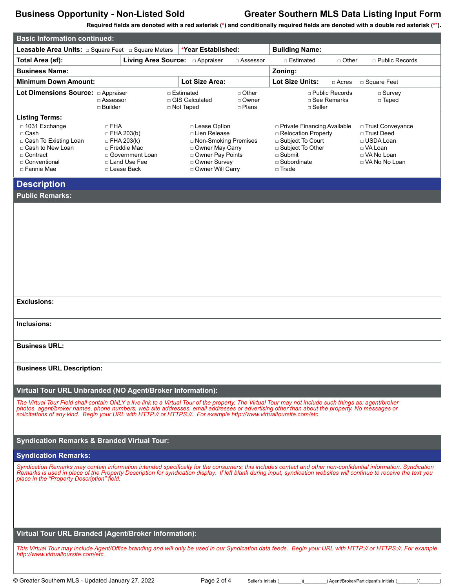**Required fields are denoted with a red asterisk (\*) and conditionally required fields are denoted with a double red asterisk (\*\*).**

| <b>Basic Information continued:</b>                                                                                                                                                                                                                                                                                                                                                                                          |                                      |                                                                                                                |                                                |                                                                                                                                               |                                    |                                                                                                                                                           |                                   |                                                                                                                                                               |
|------------------------------------------------------------------------------------------------------------------------------------------------------------------------------------------------------------------------------------------------------------------------------------------------------------------------------------------------------------------------------------------------------------------------------|--------------------------------------|----------------------------------------------------------------------------------------------------------------|------------------------------------------------|-----------------------------------------------------------------------------------------------------------------------------------------------|------------------------------------|-----------------------------------------------------------------------------------------------------------------------------------------------------------|-----------------------------------|---------------------------------------------------------------------------------------------------------------------------------------------------------------|
| Leasable Area Units: $\Box$ Square Feet $\Box$ Square Meters                                                                                                                                                                                                                                                                                                                                                                 |                                      |                                                                                                                |                                                | *Year Established:                                                                                                                            |                                    | <b>Building Name:</b>                                                                                                                                     |                                   |                                                                                                                                                               |
| Total Area (sf):                                                                                                                                                                                                                                                                                                                                                                                                             |                                      |                                                                                                                |                                                |                                                                                                                                               | $\Box$ Assessor                    | □ Estimated                                                                                                                                               | $\Box$ Other                      | □ Public Records                                                                                                                                              |
| <b>Business Name:</b>                                                                                                                                                                                                                                                                                                                                                                                                        |                                      |                                                                                                                |                                                |                                                                                                                                               |                                    | Zoning:                                                                                                                                                   |                                   |                                                                                                                                                               |
| <b>Minimum Down Amount:</b>                                                                                                                                                                                                                                                                                                                                                                                                  |                                      |                                                                                                                |                                                | Lot Size Area:                                                                                                                                |                                    | <b>Lot Size Units:</b>                                                                                                                                    | $\Box$ Acres                      | □ Square Feet                                                                                                                                                 |
| Lot Dimensions Source: a Appraiser                                                                                                                                                                                                                                                                                                                                                                                           | $\Box$ Assessor<br>$\square$ Builder |                                                                                                                | □ Estimated<br>□ GIS Calculated<br>□ Not Taped |                                                                                                                                               | $\Box$ Other<br>□ Owner<br>□ Plans | $\Box$ Seller                                                                                                                                             | □ Public Records<br>□ See Remarks | $\square$ Survey<br>□ Taped                                                                                                                                   |
| <b>Listing Terms:</b><br>□ 1031 Exchange<br>$\Box$ Cash<br>□ Cash To Existing Loan<br>□ Cash to New Loan<br>□ Contract<br>□ Conventional<br>□ Fannie Mae                                                                                                                                                                                                                                                                     | $\sqcap$ FHA                         | $\Box$ FHA 203(b)<br>$\Box$ FHA 203(k)<br>□ Freddie Mac<br>□ Government Loan<br>□ Land Use Fee<br>□ Lease Back |                                                | □ Lease Option<br>□ Lien Release<br>□ Non-Smoking Premises<br>□ Owner May Carry<br>□ Owner Pay Points<br>□ Owner Survey<br>□ Owner Will Carry |                                    | □ Private Financing Available<br>□ Relocation Property<br>□ Subject To Court<br>□ Subject To Other<br>$\Box$ Submit<br>$\Box$ Subordinate<br>$\Box$ Trade |                                   | □ Trust Conveyance<br>□ Trust Deed<br>□ USDA Loan<br>□ VA Loan<br>□ VA No Loan<br>□ VA No No Loan                                                             |
| <b>Description</b><br><b>Public Remarks:</b>                                                                                                                                                                                                                                                                                                                                                                                 |                                      |                                                                                                                |                                                |                                                                                                                                               |                                    |                                                                                                                                                           |                                   |                                                                                                                                                               |
| <b>Exclusions:</b>                                                                                                                                                                                                                                                                                                                                                                                                           |                                      |                                                                                                                |                                                |                                                                                                                                               |                                    |                                                                                                                                                           |                                   |                                                                                                                                                               |
|                                                                                                                                                                                                                                                                                                                                                                                                                              |                                      |                                                                                                                |                                                |                                                                                                                                               |                                    |                                                                                                                                                           |                                   |                                                                                                                                                               |
| Inclusions:                                                                                                                                                                                                                                                                                                                                                                                                                  |                                      |                                                                                                                |                                                |                                                                                                                                               |                                    |                                                                                                                                                           |                                   |                                                                                                                                                               |
| <b>Business URL:</b>                                                                                                                                                                                                                                                                                                                                                                                                         |                                      |                                                                                                                |                                                |                                                                                                                                               |                                    |                                                                                                                                                           |                                   |                                                                                                                                                               |
| <b>Business URL Description:</b>                                                                                                                                                                                                                                                                                                                                                                                             |                                      |                                                                                                                |                                                |                                                                                                                                               |                                    |                                                                                                                                                           |                                   |                                                                                                                                                               |
| Virtual Tour URL Unbranded (NO Agent/Broker Information):                                                                                                                                                                                                                                                                                                                                                                    |                                      |                                                                                                                |                                                |                                                                                                                                               |                                    |                                                                                                                                                           |                                   |                                                                                                                                                               |
| The Virtual Tour Field shall contain ONLY a live link to a Virtual Tour of the property. The Virtual Tour may not include such things as: agent/broker<br>photos, agent/broker names, phone numbers, web site addresses, email addresses or advertising other than about the property. No messages or<br>solicitations of any kind. Begin your URL with HTTP:// or HTTPS://. For example http://www.virtualtoursite.com/etc. |                                      |                                                                                                                |                                                |                                                                                                                                               |                                    |                                                                                                                                                           |                                   |                                                                                                                                                               |
| <b>Syndication Remarks &amp; Branded Virtual Tour:</b>                                                                                                                                                                                                                                                                                                                                                                       |                                      |                                                                                                                |                                                |                                                                                                                                               |                                    |                                                                                                                                                           |                                   |                                                                                                                                                               |
| <b>Syndication Remarks:</b>                                                                                                                                                                                                                                                                                                                                                                                                  |                                      |                                                                                                                |                                                |                                                                                                                                               |                                    |                                                                                                                                                           |                                   |                                                                                                                                                               |
| Syndication Remarks may contain information intended specifically for the consumers; this includes contact and other non-confidential information. Syndication<br>Remarks is used in place of the Property Description for syndication display. If left blank during input, syndication websites will continue to receive the text you<br>place in the "Property Description" field.                                         |                                      |                                                                                                                |                                                |                                                                                                                                               |                                    |                                                                                                                                                           |                                   |                                                                                                                                                               |
| Virtual Tour URL Branded (Agent/Broker Information):                                                                                                                                                                                                                                                                                                                                                                         |                                      |                                                                                                                |                                                |                                                                                                                                               |                                    |                                                                                                                                                           |                                   |                                                                                                                                                               |
| http://www.virtualtoursite.com/etc.                                                                                                                                                                                                                                                                                                                                                                                          |                                      |                                                                                                                |                                                |                                                                                                                                               |                                    |                                                                                                                                                           |                                   | This Virtual Tour may include Agent/Office branding and will only be used in our Syndication data feeds. Begin your URL with HTTP:// or HTTPS://. For example |
| © Greater Southern MLS - Updated January 27, 2022                                                                                                                                                                                                                                                                                                                                                                            |                                      |                                                                                                                |                                                | Page 2 of 4                                                                                                                                   | Seller's Initials (                |                                                                                                                                                           |                                   | ) Agent/Broker/Participant's Initials (                                                                                                                       |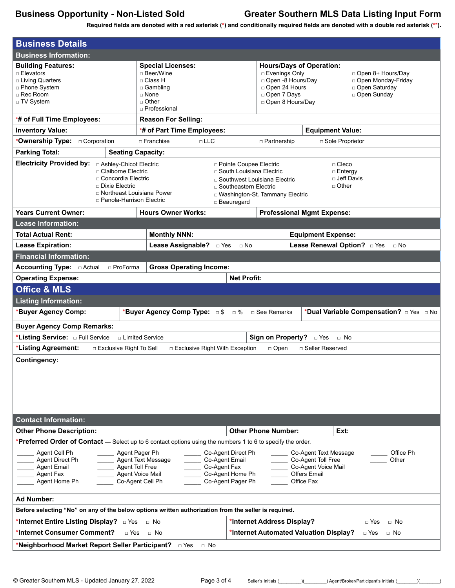**Required fields are denoted with a red asterisk (\*) and conditionally required fields are denoted with a double red asterisk (\*\*).**

| <b>Business Details</b>                                                                                                                                                                                                                                                                                                                                                                                                                                                                                                                         |                                                                                                                            |                                                                                                                                                                          |                                                                                                                                                                                                                        |  |  |  |  |
|-------------------------------------------------------------------------------------------------------------------------------------------------------------------------------------------------------------------------------------------------------------------------------------------------------------------------------------------------------------------------------------------------------------------------------------------------------------------------------------------------------------------------------------------------|----------------------------------------------------------------------------------------------------------------------------|--------------------------------------------------------------------------------------------------------------------------------------------------------------------------|------------------------------------------------------------------------------------------------------------------------------------------------------------------------------------------------------------------------|--|--|--|--|
| <b>Business Information:</b>                                                                                                                                                                                                                                                                                                                                                                                                                                                                                                                    |                                                                                                                            |                                                                                                                                                                          |                                                                                                                                                                                                                        |  |  |  |  |
| <b>Building Features:</b><br>$\Box$ Elevators<br>□ Living Quarters<br>□ Phone System<br>□ Rec Room<br>□ TV System                                                                                                                                                                                                                                                                                                                                                                                                                               | <b>Special Licenses:</b><br>□ Beer/Wine<br>□ Class H<br>$\Box$ Gambling<br>$\Box$ None<br>$\sqcap$ Other<br>□ Professional |                                                                                                                                                                          | <b>Hours/Days of Operation:</b><br>□ Evenings Only<br>□ Open 8+ Hours/Day<br>□ Open -8 Hours/Day<br>□ Open Monday-Friday<br>□ Open 24 Hours<br>□ Open Saturday<br>□ Open 7 Days<br>□ Open Sunday<br>□ Open 8 Hours/Day |  |  |  |  |
| *# of Full Time Employees:                                                                                                                                                                                                                                                                                                                                                                                                                                                                                                                      | <b>Reason For Selling:</b>                                                                                                 |                                                                                                                                                                          |                                                                                                                                                                                                                        |  |  |  |  |
| <b>Inventory Value:</b>                                                                                                                                                                                                                                                                                                                                                                                                                                                                                                                         | *# of Part Time Employees:                                                                                                 |                                                                                                                                                                          | <b>Equipment Value:</b>                                                                                                                                                                                                |  |  |  |  |
| *Ownership Type:<br>□ Corporation                                                                                                                                                                                                                                                                                                                                                                                                                                                                                                               | $\Box$ LLC<br>$\sqcap$ Franchise                                                                                           |                                                                                                                                                                          | □ Partnership<br>□ Sole Proprietor                                                                                                                                                                                     |  |  |  |  |
| <b>Parking Total:</b><br><b>Seating Capacity:</b>                                                                                                                                                                                                                                                                                                                                                                                                                                                                                               |                                                                                                                            |                                                                                                                                                                          |                                                                                                                                                                                                                        |  |  |  |  |
| <b>Electricity Provided by:</b><br>□ Ashley-Chicot Electric<br>□ Claiborne Electric<br>□ Concordia Electric<br>□ Dixie Electric<br>□ Northeast Louisiana Power<br>□ Panola-Harrison Electric                                                                                                                                                                                                                                                                                                                                                    |                                                                                                                            | □ Pointe Coupee Electric<br>□ South Louisiana Electric<br>□ Southwest Louisiana Electric<br>□ Southeastern Electric<br>□ Washington-St. Tammany Electric<br>□ Beauregard | $\Box$ Cleco<br>□ Entergy<br>□ Jeff Davis<br>$\Box$ Other                                                                                                                                                              |  |  |  |  |
| <b>Years Current Owner:</b>                                                                                                                                                                                                                                                                                                                                                                                                                                                                                                                     | <b>Hours Owner Works:</b>                                                                                                  |                                                                                                                                                                          | <b>Professional Mgmt Expense:</b>                                                                                                                                                                                      |  |  |  |  |
| <b>Lease Information:</b>                                                                                                                                                                                                                                                                                                                                                                                                                                                                                                                       |                                                                                                                            |                                                                                                                                                                          |                                                                                                                                                                                                                        |  |  |  |  |
| <b>Total Actual Rent:</b>                                                                                                                                                                                                                                                                                                                                                                                                                                                                                                                       | <b>Monthly NNN:</b>                                                                                                        |                                                                                                                                                                          | <b>Equipment Expense:</b>                                                                                                                                                                                              |  |  |  |  |
| <b>Lease Expiration:</b>                                                                                                                                                                                                                                                                                                                                                                                                                                                                                                                        | Lease Assignable? DYes                                                                                                     | $\Box$ No                                                                                                                                                                | Lease Renewal Option? Dives<br>$\Box$ No                                                                                                                                                                               |  |  |  |  |
| <b>Financial Information:</b>                                                                                                                                                                                                                                                                                                                                                                                                                                                                                                                   |                                                                                                                            |                                                                                                                                                                          |                                                                                                                                                                                                                        |  |  |  |  |
| □ ProForma                                                                                                                                                                                                                                                                                                                                                                                                                                                                                                                                      | <b>Gross Operating Income:</b>                                                                                             |                                                                                                                                                                          |                                                                                                                                                                                                                        |  |  |  |  |
| <b>Operating Expense:</b>                                                                                                                                                                                                                                                                                                                                                                                                                                                                                                                       |                                                                                                                            | <b>Net Profit:</b>                                                                                                                                                       |                                                                                                                                                                                                                        |  |  |  |  |
| <b>Office &amp; MLS</b>                                                                                                                                                                                                                                                                                                                                                                                                                                                                                                                         |                                                                                                                            |                                                                                                                                                                          |                                                                                                                                                                                                                        |  |  |  |  |
| <b>Listing Information:</b><br>*Buyer Agency Comp:                                                                                                                                                                                                                                                                                                                                                                                                                                                                                              | *Buyer Agency Comp Type: □\$ □%                                                                                            |                                                                                                                                                                          |                                                                                                                                                                                                                        |  |  |  |  |
|                                                                                                                                                                                                                                                                                                                                                                                                                                                                                                                                                 |                                                                                                                            | □ See Remarks                                                                                                                                                            | *Dual Variable Compensation? <b>DI</b> Yes DINo                                                                                                                                                                        |  |  |  |  |
| <b>Buyer Agency Comp Remarks:</b>                                                                                                                                                                                                                                                                                                                                                                                                                                                                                                               |                                                                                                                            |                                                                                                                                                                          |                                                                                                                                                                                                                        |  |  |  |  |
| *Listing Service: <b>DIE Full Service</b>                                                                                                                                                                                                                                                                                                                                                                                                                                                                                                       | □ Limited Service                                                                                                          | <b>Sign on Property?</b>                                                                                                                                                 | □ Yes<br>$\Box$ No                                                                                                                                                                                                     |  |  |  |  |
| *Listing Agreement:<br>□ Exclusive Right To Sell                                                                                                                                                                                                                                                                                                                                                                                                                                                                                                | □ Exclusive Right With Exception                                                                                           | $\Box$ Open                                                                                                                                                              | □ Seller Reserved                                                                                                                                                                                                      |  |  |  |  |
| <b>Contingency:</b>                                                                                                                                                                                                                                                                                                                                                                                                                                                                                                                             |                                                                                                                            |                                                                                                                                                                          |                                                                                                                                                                                                                        |  |  |  |  |
| <b>Contact Information:</b>                                                                                                                                                                                                                                                                                                                                                                                                                                                                                                                     |                                                                                                                            |                                                                                                                                                                          |                                                                                                                                                                                                                        |  |  |  |  |
| <b>Other Phone Description:</b>                                                                                                                                                                                                                                                                                                                                                                                                                                                                                                                 |                                                                                                                            | <b>Other Phone Number:</b>                                                                                                                                               | Ext:                                                                                                                                                                                                                   |  |  |  |  |
| <b>*Preferred Order of Contact</b> — Select up to 6 contact options using the numbers 1 to 6 to specify the order.<br>Co-Agent Direct Ph<br>Co-Agent Text Message<br>Agent Cell Ph<br>Agent Pager Ph<br>Office Ph<br>Co-Agent Email<br>Co-Agent Toll Free<br>Agent Direct Ph<br>Agent Text Message<br>Other<br>Agent Toll Free<br>Co-Agent Fax<br>Co-Agent Voice Mail<br><b>Agent Email</b><br>Agent Voice Mail<br>Co-Agent Home Ph<br><b>Offers Email</b><br>Agent Fax<br>Co-Agent Pager Ph<br>Agent Home Ph<br>Co-Agent Cell Ph<br>Office Fax |                                                                                                                            |                                                                                                                                                                          |                                                                                                                                                                                                                        |  |  |  |  |
| <b>Ad Number:</b>                                                                                                                                                                                                                                                                                                                                                                                                                                                                                                                               |                                                                                                                            |                                                                                                                                                                          |                                                                                                                                                                                                                        |  |  |  |  |
| Before selecting "No" on any of the below options written authorization from the seller is required.                                                                                                                                                                                                                                                                                                                                                                                                                                            |                                                                                                                            |                                                                                                                                                                          |                                                                                                                                                                                                                        |  |  |  |  |
| *Internet Entire Listing Display?<br>*Internet Address Display?<br>$\Box$ No<br>□ Yes<br>$\Box$ No<br>$\Box$ Yes                                                                                                                                                                                                                                                                                                                                                                                                                                |                                                                                                                            |                                                                                                                                                                          |                                                                                                                                                                                                                        |  |  |  |  |
| *Internet Consumer Comment?<br>$\Box$ Yes                                                                                                                                                                                                                                                                                                                                                                                                                                                                                                       | $\Box$ No                                                                                                                  |                                                                                                                                                                          | *Internet Automated Valuation Display?<br>□ Yes<br>$\Box$ No                                                                                                                                                           |  |  |  |  |
| *Neighborhood Market Report Seller Participant?<br>$\Box$ Yes<br>$\Box$ No                                                                                                                                                                                                                                                                                                                                                                                                                                                                      |                                                                                                                            |                                                                                                                                                                          |                                                                                                                                                                                                                        |  |  |  |  |